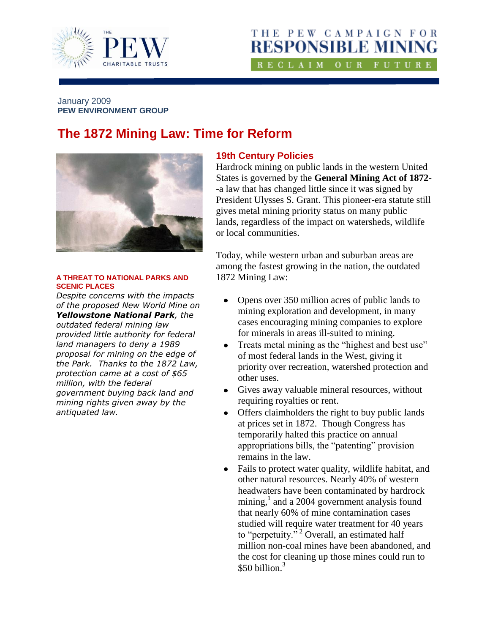

## THE PEW CAMPAIGN FOR **RESPONSIBLE MINING** RECLAIM OUR FUTURE

#### January 2009 **PEW ENVIRONMENT GROUP**

# **The 1872 Mining Law: Time for Reform**



#### **A THREAT TO NATIONAL PARKS AND SCENIC PLACES**

*Despite concerns with the impacts of the proposed New World Mine on Yellowstone National Park, the outdated federal mining law provided little authority for federal land managers to deny a 1989 proposal for mining on the edge of the Park. Thanks to the 1872 Law, protection came at a cost of \$65 million, with the federal government buying back land and mining rights given away by the antiquated law.*

### **19th Century Policies**

Hardrock mining on public lands in the western United States is governed by the **General Mining Act of 1872**- -a law that has changed little since it was signed by President Ulysses S. Grant. This pioneer-era statute still gives metal mining priority status on many public lands, regardless of the impact on watersheds, wildlife or local communities.

Today, while western urban and suburban areas are among the fastest growing in the nation, the outdated 1872 Mining Law:

- $\bullet$ Opens over 350 million acres of public lands to mining exploration and development, in many cases encouraging mining companies to explore for minerals in areas ill-suited to mining.
- Treats metal mining as the "highest and best use" of most federal lands in the West, giving it priority over recreation, watershed protection and other uses.
- Gives away valuable mineral resources, without  $\bullet$ requiring royalties or rent.
- Offers claimholders the right to buy public lands  $\bullet$ at prices set in 1872. Though Congress has temporarily halted this practice on annual appropriations bills, the "patenting" provision remains in the law.
- Fails to protect water quality, wildlife habitat, and  $\bullet$ other natural resources. Nearly 40% of western headwaters have been contaminated by hardrock mining, $<sup>1</sup>$  and a 2004 government analysis found</sup> that nearly 60% of mine contamination cases studied will require water treatment for 40 years to "perpetuity."<sup>2</sup> Overall, an estimated half million non-coal mines have been abandoned, and the cost for cleaning up those mines could run to \$50 billion. $3$